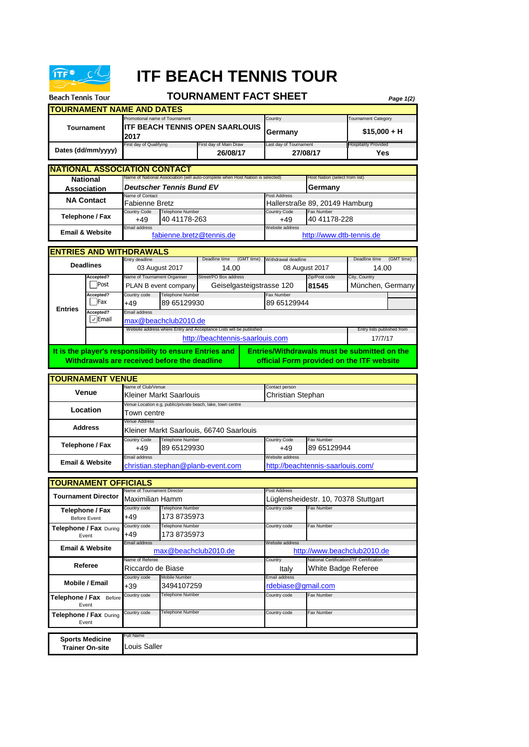

**Telephone / Fax** Before Event **Telephone / Fax** During Event

> **Sports Medicine Trainer On-site**

Full Name Louis Saller

## **ITF BEACH TENNIS TOUR**

## **TOURNAMENT FACT SHEET**

| <b>Beach Tennis Tour</b>   |                                      |                                                                           |                                                                                                         | <b>TOURNAMENT FACT SHEET</b>                                                   |                                    |                                                                                     |                                                                                           |                                    | Page 1(2)  |  |  |
|----------------------------|--------------------------------------|---------------------------------------------------------------------------|---------------------------------------------------------------------------------------------------------|--------------------------------------------------------------------------------|------------------------------------|-------------------------------------------------------------------------------------|-------------------------------------------------------------------------------------------|------------------------------------|------------|--|--|
|                            |                                      | <b>TOURNAMENT NAME AND DATES</b>                                          |                                                                                                         |                                                                                |                                    |                                                                                     |                                                                                           |                                    |            |  |  |
| Tournament                 |                                      | Promotional name of Tournament<br>ITF BEACH TENNIS OPEN SAARLOUIS<br>2017 |                                                                                                         |                                                                                | Country<br>Germany                 |                                                                                     | Tournament Category<br>$$15,000 + H$                                                      |                                    |            |  |  |
|                            | Dates (dd/mm/yyyy)                   | First day of Qualifying                                                   |                                                                                                         |                                                                                | First day of Main Draw<br>26/08/17 |                                                                                     | Last day of Tournament<br>27/08/17                                                        | <b>Hospitality Provided</b><br>Yes |            |  |  |
|                            |                                      | <b>NATIONAL ASSOCIATION CONTACT</b>                                       |                                                                                                         |                                                                                |                                    |                                                                                     |                                                                                           |                                    |            |  |  |
|                            | <b>National</b>                      |                                                                           |                                                                                                         | Name of National Association (will auto-complete when Host Nation is selected) |                                    |                                                                                     | Host Nation (select from list)                                                            |                                    |            |  |  |
|                            | Association                          | Name of Contact                                                           | <b>Deutscher Tennis Bund EV</b>                                                                         |                                                                                |                                    | Post Address                                                                        | Germany                                                                                   |                                    |            |  |  |
|                            | <b>NA Contact</b>                    | Fabienne Bretz                                                            |                                                                                                         |                                                                                |                                    |                                                                                     | Hallerstraße 89, 20149 Hamburg                                                            |                                    |            |  |  |
|                            | Telephone / Fax                      | <b>Country Code</b><br>+49                                                | <b>Telephone Number</b><br>40 41178-263                                                                 |                                                                                |                                    | <b>Country Code</b><br>+49                                                          | Fax Number<br>40 41178-228                                                                |                                    |            |  |  |
|                            | <b>Email &amp; Website</b>           | Email address                                                             |                                                                                                         |                                                                                |                                    | Website address                                                                     |                                                                                           |                                    |            |  |  |
|                            |                                      |                                                                           | fabienne.bretz@tennis.de<br>http://www.dtb-tennis.de                                                    |                                                                                |                                    |                                                                                     |                                                                                           |                                    |            |  |  |
|                            |                                      | <b>ENTRIES AND WITHDRAWALS</b>                                            |                                                                                                         |                                                                                |                                    |                                                                                     |                                                                                           |                                    |            |  |  |
|                            | <b>Deadlines</b>                     | Entry deadline                                                            |                                                                                                         | Deadline time<br>14.00                                                         | (GMT time)                         | Withdrawal deadline                                                                 |                                                                                           | Deadline time<br>14.00             | (GMT time) |  |  |
|                            | Accepted?                            | Name of Tournament Organiser                                              | 03 August 2017                                                                                          | Street/PO Box address                                                          |                                    |                                                                                     | 08 August 2017<br>Zip/Post code                                                           | City, Country                      |            |  |  |
|                            | Post                                 |                                                                           | PLAN B event company                                                                                    | Geiselgasteigstrasse 120                                                       |                                    |                                                                                     | 81545                                                                                     | München, Germany                   |            |  |  |
|                            | Accepted?<br>Fax                     | Country code<br>+49                                                       | <b>Telephone Number</b><br>89 65129930                                                                  |                                                                                |                                    | Fax Number<br>89 65129944                                                           |                                                                                           |                                    |            |  |  |
| <b>Entries</b>             | Accepted?<br>$\sqrt{\mathsf{Email}}$ | Email address                                                             | max@beachclub2010.de                                                                                    |                                                                                |                                    |                                                                                     |                                                                                           |                                    |            |  |  |
|                            |                                      |                                                                           |                                                                                                         | Website address where Entry and Acceptance Lists will be published             |                                    |                                                                                     |                                                                                           | Entry lists published from         |            |  |  |
|                            |                                      |                                                                           |                                                                                                         | http://beachtennis-saarlouis.com                                               |                                    |                                                                                     |                                                                                           | 17/7/17                            |            |  |  |
|                            |                                      |                                                                           | It is the player's responsibility to ensure Entries and<br>Withdrawals are received before the deadline |                                                                                |                                    |                                                                                     | Entries/Withdrawals must be submitted on the<br>official Form provided on the ITF website |                                    |            |  |  |
|                            | <b>TOURNAMENT VENUE</b>              |                                                                           |                                                                                                         |                                                                                |                                    |                                                                                     |                                                                                           |                                    |            |  |  |
|                            | <b>Venue</b>                         | Name of Club/Venue                                                        | Kleiner Markt Saarlouis                                                                                 |                                                                                |                                    | Contact person<br>Christian Stephan                                                 |                                                                                           |                                    |            |  |  |
|                            | Location                             |                                                                           |                                                                                                         | Venue Location e.g. public/private beach, lake, town centre                    |                                    |                                                                                     |                                                                                           |                                    |            |  |  |
|                            |                                      | Venue Address                                                             | Town centre                                                                                             |                                                                                |                                    |                                                                                     |                                                                                           |                                    |            |  |  |
|                            | <b>Address</b>                       |                                                                           | Kleiner Markt Saarlouis, 66740 Saarlouis                                                                |                                                                                |                                    |                                                                                     |                                                                                           |                                    |            |  |  |
|                            | Telephone / Fax                      | <b>Country Code</b><br>+49                                                | <b>Telephone Number</b><br>89 65129930                                                                  |                                                                                |                                    | <b>Country Code</b><br>$+49$                                                        | Fax Number<br>89 65129944                                                                 |                                    |            |  |  |
|                            | <b>Email &amp; Website</b>           | Email address                                                             |                                                                                                         | christian.stephan@planb-event.com                                              |                                    | Website address                                                                     | http://beachtennis-saarlouis.com/                                                         |                                    |            |  |  |
|                            |                                      |                                                                           |                                                                                                         |                                                                                |                                    |                                                                                     |                                                                                           |                                    |            |  |  |
|                            | <b>TOURNAMENT OFFICIALS</b>          |                                                                           |                                                                                                         |                                                                                |                                    |                                                                                     |                                                                                           |                                    |            |  |  |
| <b>Tournament Director</b> |                                      | Name of Tournament Director<br>Maximilian Hamm                            |                                                                                                         |                                                                                |                                    | Post Address                                                                        | Lüglensheidestr. 10, 70378 Stuttgart                                                      |                                    |            |  |  |
|                            | Telephone / Fax<br>Before Event      | Country code<br>+49                                                       | Telephone Number<br>173 8735973                                                                         |                                                                                |                                    | Country code                                                                        | Fax Number                                                                                |                                    |            |  |  |
|                            | Telephone / Fax During<br>Event      | Country code<br>+49                                                       | Telephone Number<br>173 8735973                                                                         |                                                                                |                                    | Country code                                                                        | Fax Number                                                                                |                                    |            |  |  |
| <b>Email &amp; Website</b> |                                      | Email address                                                             | max@beachclub2010.de                                                                                    |                                                                                |                                    | Website address                                                                     | http://www.beachclub2010.de                                                               |                                    |            |  |  |
| Referee                    |                                      | Name of Referee<br>Riccardo de Biase                                      |                                                                                                         |                                                                                |                                    | National Certification/ITF Certification<br>Country<br>White Badge Referee<br>Italy |                                                                                           |                                    |            |  |  |
|                            | Mobile / Email                       | Country code<br>+39                                                       | Mobile Number<br>3494107259                                                                             |                                                                                |                                    | Email address<br>rdebiase@qmail.com                                                 |                                                                                           |                                    |            |  |  |

Country code Telephone Number **Country Country code** Fax Number Country code Telephone Number Country code Fax Number

Telephone Number Telephone Number